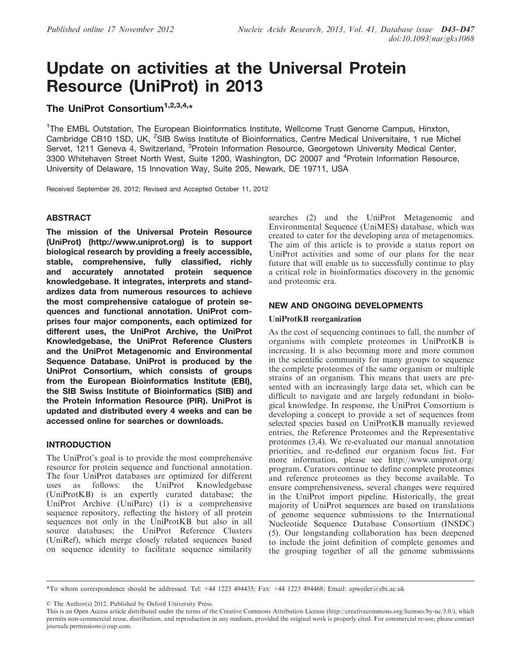# Update on activities at the Universal Protein Resource (UniProt) in 2013

# The UniProt Consortium<sup>1,2,3,4,\*</sup>

<sup>1</sup>The EMBL Outstation, The European Bioinformatics Institute, Wellcome Trust Genome Campus, Hinxton, Cambridge CB10 1SD, UK, <sup>2</sup>SIB Swiss Institute of Bioinformatics, Centre Medical Universitaire, 1 rue Michel Servet, 1211 Geneva 4, Switzerland, <sup>3</sup>Protein Information Resource, Georgetown University Medical Center, 3300 Whitehaven Street North West, Suite 1200, Washington, DC 20007 and <sup>4</sup>Protein Information Resource, University of Delaware, 15 Innovation Way, Suite 205, Newark, DE 19711, USA

Received September 26, 2012; Revised and Accepted October 11, 2012

## ABSTRACT

The mission of the Universal Protein Resource (UniProt) (http://www.uniprot.org) is to support biological research by providing a freely accessible, stable, comprehensive, fully classified, richly and accurately annotated protein sequence knowledgebase. It integrates, interprets and standardizes data from numerous resources to achieve the most comprehensive catalogue of protein sequences and functional annotation. UniProt comprises four major components, each optimized for different uses, the UniProt Archive, the UniProt Knowledgebase, the UniProt Reference Clusters and the UniProt Metagenomic and Environmental Sequence Database. UniProt is produced by the UniProt Consortium, which consists of groups from the European Bioinformatics Institute (EBI), the SIB Swiss Institute of Bioinformatics (SIB) and the Protein Information Resource (PIR). UniProt is updated and distributed every 4 weeks and can be accessed online for searches or downloads.

#### INTRODUCTION

The UniProt's goal is to provide the most comprehensive resource for protein sequence and functional annotation. The four UniProt databases are optimized for different uses as follows: the UniProt Knowledgebase (UniProtKB) is an expertly curated database; the UniProt Archive (UniParc) ([1\)](#page-3-0) is a comprehensive sequence repository, reflecting the history of all protein sequences not only in the UniProtKB but also in all source databases; the UniProt Reference Clusters (UniRef), which merge closely related sequences based on sequence identity to facilitate sequence similarity searches ([2](#page-3-0)) and the UniProt Metagenomic and Environmental Sequence (UniMES) database, which was created to cater for the developing area of metagenomics. The aim of this article is to provide a status report on UniProt activities and some of our plans for the near future that will enable us to successfully continue to play a critical role in bioinformatics discovery in the genomic and proteomic era.

### NEW AND ONGOING DEVELOPMENTS

#### UniProtKB reorganization

As the cost of sequencing continues to fall, the number of organisms with complete proteomes in UniProtKB is increasing. It is also becoming more and more common in the scientific community for many groups to sequence the complete proteomes of the same organism or multiple strains of an organism. This means that users are presented with an increasingly large data set, which can be difficult to navigate and are largely redundant in biological knowledge. In response, the UniProt Consortium is developing a concept to provide a set of sequences from selected species based on UniProtKB manually reviewed entries, the Reference Proteomes and the Representative proteomes ([3,4\)](#page-3-0). We re-evaluated our manual annotation priorities, and re-defined our organism focus list. For more information, please see http://www.uniprot.org/ program. Curators continue to define complete proteomes and reference proteomes as they become available. To ensure comprehensiveness, several changes were required in the UniProt import pipeline. Historically, the great majority of UniProt sequences are based on translations of genome sequence submissions to the International Nucleotide Sequence Database Consortium (INSDC) [\(5](#page-3-0)). Our longstanding collaboration has been deepened to include the joint definition of complete genomes and the grouping together of all the genome submissions

© The Author(s) 2012. Published by Oxford University Press.

<sup>\*</sup>To whom correspondence should be addressed. Tel: +44 1223 494435; Fax: +44 1223 494468; Email: apweiler@ebi.ac.uk

This is an Open Access article distributed under the terms of the Creative Commons Attribution License (http://creativecommons.org/licenses/by-nc/3.0/), which permits non-commercial reuse, distribution, and reproduction in any medium, provided the original work is properly cited. For commercial re-use, please contact journals.permissions@oup.com.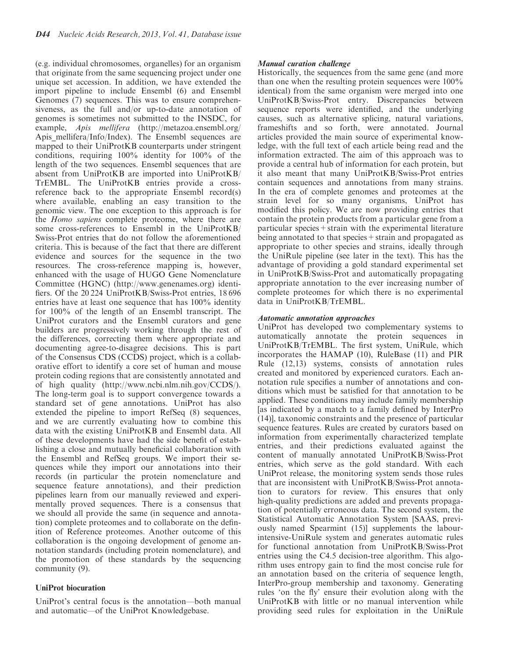(e.g. individual chromosomes, organelles) for an organism that originate from the same sequencing project under one unique set accession. In addition, we have extended the import pipeline to include Ensembl ([6\)](#page-3-0) and Ensembl Genomes ([7\)](#page-3-0) sequences. This was to ensure comprehensiveness, as the full and/or up-to-date annotation of genomes is sometimes not submitted to the INSDC, for example, Apis mellifera (http://metazoa.ensembl.org/ Apis mellifera/Info/Index). The Ensembl sequences are mapped to their UniProtKB counterparts under stringent conditions, requiring 100% identity for 100% of the length of the two sequences. Ensembl sequences that are absent from UniProtKB are imported into UniProtKB/ TrEMBL. The UniProtKB entries provide a crossreference back to the appropriate Ensembl record(s) where available, enabling an easy transition to the genomic view. The one exception to this approach is for the Homo sapiens complete proteome, where there are some cross-references to Ensembl in the UniProtKB/ Swiss-Prot entries that do not follow the aforementioned criteria. This is because of the fact that there are different evidence and sources for the sequence in the two resources. The cross-reference mapping is, however, enhanced with the usage of HUGO Gene Nomenclature Committee (HGNC) (http://www.genenames.org) identifiers. Of the 20 224 UniProtKB/Swiss-Prot entries, 18 696 entries have at least one sequence that has 100% identity for 100% of the length of an Ensembl transcript. The UniProt curators and the Ensembl curators and gene builders are progressively working through the rest of the differences, correcting them where appropriate and documenting agree-to-disagree decisions. This is part of the Consensus CDS (CCDS) project, which is a collaborative effort to identify a core set of human and mouse protein coding regions that are consistently annotated and of high quality (http://www.ncbi.nlm.nih.gov/CCDS/). The long-term goal is to support convergence towards a standard set of gene annotations. UniProt has also extended the pipeline to import RefSeq [\(8](#page-3-0)) sequences, and we are currently evaluating how to combine this data with the existing UniProtKB and Ensembl data. All of these developments have had the side benefit of establishing a close and mutually beneficial collaboration with the Ensembl and RefSeq groups. We import their sequences while they import our annotations into their records (in particular the protein nomenclature and sequence feature annotations), and their prediction pipelines learn from our manually reviewed and experimentally proved sequences. There is a consensus that we should all provide the same (in sequence and annotation) complete proteomes and to collaborate on the definition of Reference proteomes. Another outcome of this collaboration is the ongoing development of genome annotation standards (including protein nomenclature), and the promotion of these standards by the sequencing community [\(9](#page-3-0)).

#### UniProt biocuration

UniProt's central focus is the annotation—both manual and automatic—of the UniProt Knowledgebase.

#### Manual curation challenge

Historically, the sequences from the same gene (and more than one when the resulting protein sequences were 100% identical) from the same organism were merged into one UniProtKB/Swiss-Prot entry. Discrepancies between sequence reports were identified, and the underlying causes, such as alternative splicing, natural variations, frameshifts and so forth, were annotated. Journal articles provided the main source of experimental knowledge, with the full text of each article being read and the information extracted. The aim of this approach was to provide a central hub of information for each protein, but it also meant that many UniProtKB/Swiss-Prot entries contain sequences and annotations from many strains. In the era of complete genomes and proteomes at the strain level for so many organisms, UniProt has modified this policy. We are now providing entries that contain the protein products from a particular gene from a particular species+strain with the experimental literature being annotated to that species + strain and propagated as appropriate to other species and strains, ideally through the UniRule pipeline (see later in the text). This has the advantage of providing a gold standard experimental set in UniProtKB/Swiss-Prot and automatically propagating appropriate annotation to the ever increasing number of complete proteomes for which there is no experimental data in UniProtKB/TrEMBL.

#### Automatic annotation approaches

UniProt has developed two complementary systems to automatically annotate the protein sequences in UniProtKB/TrEMBL. The first system, UniRule, which incorporates the HAMAP [\(10](#page-3-0)), RuleBase ([11\)](#page-4-0) and PIR Rule ([12,13\)](#page-4-0) systems, consists of annotation rules created and monitored by experienced curators. Each annotation rule specifies a number of annotations and conditions which must be satisfied for that annotation to be applied. These conditions may include family membership [as indicated by a match to a family defined by InterPro ([14\)](#page-4-0)], taxonomic constraints and the presence of particular sequence features. Rules are created by curators based on information from experimentally characterized template entries, and their predictions evaluated against the content of manually annotated UniProtKB/Swiss-Prot entries, which serve as the gold standard. With each UniProt release, the monitoring system sends those rules that are inconsistent with UniProtKB/Swiss-Prot annotation to curators for review. This ensures that only high-quality predictions are added and prevents propagation of potentially erroneous data. The second system, the Statistical Automatic Annotation System [SAAS, previously named Spearmint ([15\)](#page-4-0)] supplements the labourintensive-UniRule system and generates automatic rules for functional annotation from UniProtKB/Swiss-Prot entries using the C4.5 decision-tree algorithm. This algorithm uses entropy gain to find the most concise rule for an annotation based on the criteria of sequence length, InterPro-group membership and taxonomy. Generating rules 'on the fly' ensure their evolution along with the UniProtKB with little or no manual intervention while providing seed rules for exploitation in the UniRule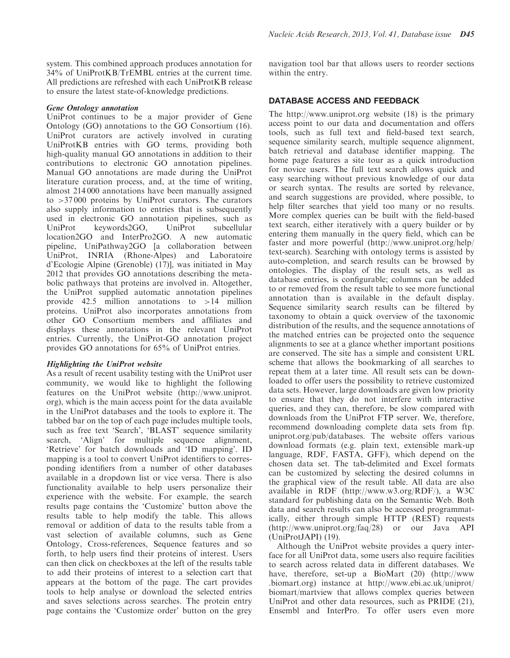system. This combined approach produces annotation for 34% of UniProtKB/TrEMBL entries at the current time. All predictions are refreshed with each UniProtKB release to ensure the latest state-of-knowledge predictions.

#### Gene Ontology annotation

UniProt continues to be a major provider of Gene Ontology (GO) annotations to the GO Consortium ([16\)](#page-4-0). UniProt curators are actively involved in curating UniProtKB entries with GO terms, providing both high-quality manual GO annotations in addition to their contributions to electronic GO annotation pipelines. Manual GO annotations are made during the UniProt literature curation process, and, at the time of writing, almost 214 000 annotations have been manually assigned to >37 000 proteins by UniProt curators. The curators also supply information to entries that is subsequently used in electronic GO annotation pipelines, such as UniProt keywords2GO, UniProt subcellular location2GO and InterPro2GO. A new automatic pipeline, UniPathway2GO [a collaboration between UniProt, INRIA (Rhone-Alpes) and Laboratoire d'Ecologie Alpine (Grenoble) [\(17](#page-4-0))], was initiated in May 2012 that provides GO annotations describing the metabolic pathways that proteins are involved in. Altogether, the UniProt supplied automatic annotation pipelines provide  $42.5$  million annotations to  $>14$  million proteins. UniProt also incorporates annotations from other GO Consortium members and affiliates and displays these annotations in the relevant UniProt entries. Currently, the UniProt-GO annotation project provides GO annotations for 65% of UniProt entries.

#### Highlighting the UniProt website

As a result of recent usability testing with the UniProt user community, we would like to highlight the following features on the UniProt website (http://www.uniprot. org), which is the main access point for the data available in the UniProt databases and the tools to explore it. The tabbed bar on the top of each page includes multiple tools, such as free text 'Search', 'BLAST' sequence similarity search, 'Align' for multiple sequence alignment, 'Retrieve' for batch downloads and 'ID mapping'. ID mapping is a tool to convert UniProt identifiers to corresponding identifiers from a number of other databases available in a dropdown list or vice versa. There is also functionality available to help users personalize their experience with the website. For example, the search results page contains the 'Customize' button above the results table to help modify the table. This allows removal or addition of data to the results table from a vast selection of available columns, such as Gene Ontology, Cross-references, Sequence features and so forth, to help users find their proteins of interest. Users can then click on checkboxes at the left of the results table to add their proteins of interest to a selection cart that appears at the bottom of the page. The cart provides tools to help analyse or download the selected entries and saves selections across searches. The protein entry page contains the 'Customize order' button on the grey navigation tool bar that allows users to reorder sections within the entry.

#### DATABASE ACCESS AND FEEDBACK

The http://www.uniprot.org website [\(18](#page-4-0)) is the primary access point to our data and documentation and offers tools, such as full text and field-based text search, sequence similarity search, multiple sequence alignment, batch retrieval and database identifier mapping. The home page features a site tour as a quick introduction for novice users. The full text search allows quick and easy searching without previous knowledge of our data or search syntax. The results are sorted by relevance, and search suggestions are provided, where possible, to help filter searches that yield too many or no results. More complex queries can be built with the field-based text search, either iteratively with a query builder or by entering them manually in the query field, which can be faster and more powerful (http://www.uniprot.org/help/ text-search). Searching with ontology terms is assisted by auto-completion, and search results can be browsed by ontologies. The display of the result sets, as well as database entries, is configurable; columns can be added to or removed from the result table to see more functional annotation than is available in the default display. Sequence similarity search results can be filtered by taxonomy to obtain a quick overview of the taxonomic distribution of the results, and the sequence annotations of the matched entries can be projected onto the sequence alignments to see at a glance whether important positions are conserved. The site has a simple and consistent URL scheme that allows the bookmarking of all searches to repeat them at a later time. All result sets can be downloaded to offer users the possibility to retrieve customized data sets. However, large downloads are given low priority to ensure that they do not interfere with interactive queries, and they can, therefore, be slow compared with downloads from the UniProt FTP server. We, therefore, recommend downloading complete data sets from ftp. uniprot.org/pub/databases. The website offers various download formats (e.g. plain text, extensible mark-up language, RDF, FASTA, GFF), which depend on the chosen data set. The tab-delimited and Excel formats can be customized by selecting the desired columns in the graphical view of the result table. All data are also available in RDF (http://www.w3.org/RDF/), a W3C standard for publishing data on the Semantic Web. Both data and search results can also be accessed programmatically, either through simple HTTP (REST) requests (http://www.uniprot.org/faq/28) or our Java API (UniProtJAPI) [\(19](#page-4-0)).

Although the UniProt website provides a query interface for all UniProt data, some users also require facilities to search across related data in different databases. We have, therefore, set-up a BioMart ([20\)](#page-4-0) (http://www .biomart.org) instance at http://www.ebi.ac.uk/uniprot/ biomart/martview that allows complex queries between UniProt and other data resources, such as PRIDE ([21\)](#page-4-0), Ensembl and InterPro. To offer users even more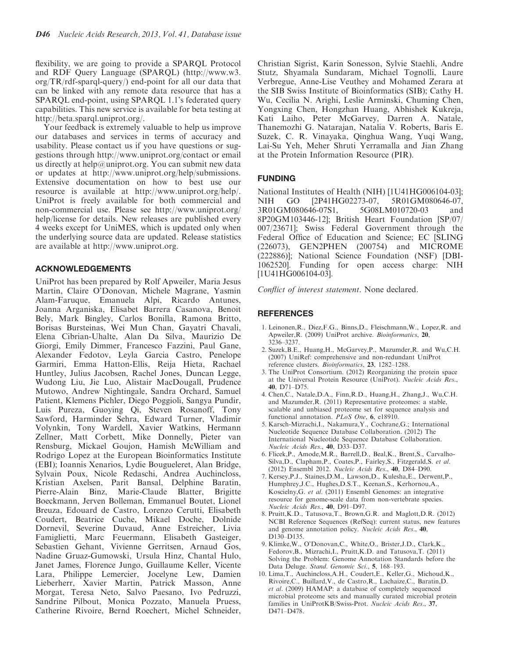<span id="page-3-0"></span>flexibility, we are going to provide a SPARQL Protocol and RDF Query Language (SPARQL) (http://www.w3. org/TR/rdf-sparql-query/) end-point for all our data that can be linked with any remote data resource that has a SPARQL end-point, using SPARQL 1.1's federated query capabilities. This new service is available for beta testing at http://beta.sparql.uniprot.org/.

Your feedback is extremely valuable to help us improve our databases and services in terms of accuracy and usability. Please contact us if you have questions or suggestions through http://www.uniprot.org/contact or email us directly at help@uniprot.org. You can submit new data or updates at http://www.uniprot.org/help/submissions. Extensive documentation on how to best use our resource is available at http://www.uniprot.org/help/. UniProt is freely available for both commercial and non-commercial use. Please see http://www.uniprot.org/ help/license for details. New releases are published every 4 weeks except for UniMES, which is updated only when the underlying source data are updated. Release statistics are available at http://www.uniprot.org.

#### ACKNOWLEDGEMENTS

UniProt has been prepared by Rolf Apweiler, Maria Jesus Martin, Claire O'Donovan, Michele Magrane, Yasmin Alam-Faruque, Emanuela Alpi, Ricardo Antunes, Joanna Arganiska, Elisabet Barrera Casanova, Benoit Bely, Mark Bingley, Carlos Bonilla, Ramona Britto, Borisas Bursteinas, Wei Mun Chan, Gayatri Chavali, Elena Cibrian-Uhalte, Alan Da Silva, Maurizio De Giorgi, Emily Dimmer, Francesco Fazzini, Paul Gane, Alexander Fedotov, Leyla Garcia Castro, Penelope Garmiri, Emma Hatton-Ellis, Reija Hieta, Rachael Huntley, Julius Jacobsen, Rachel Jones, Duncan Legge, Wudong Liu, Jie Luo, Alistair MacDougall, Prudence Mutowo, Andrew Nightingale, Sandra Orchard, Samuel Patient, Klemens Pichler, Diego Poggioli, Sangya Pundir, Luis Pureza, Guoying Qi, Steven Rosanoff, Tony Sawford, Harminder Sehra, Edward Turner, Vladimir Volynkin, Tony Wardell, Xavier Watkins, Hermann Zellner, Matt Corbett, Mike Donnelly, Pieter van Rensburg, Mickael Goujon, Hamish McWilliam and Rodrigo Lopez at the European Bioinformatics Institute (EBI); Ioannis Xenarios, Lydie Bougueleret, Alan Bridge, Sylvain Poux, Nicole Redaschi, Andrea Auchincloss, Kristian Axelsen, Parit Bansal, Delphine Baratin, Pierre-Alain Binz, Marie-Claude Blatter, Brigitte Boeckmann, Jerven Bolleman, Emmanuel Boutet, Lionel Breuza, Edouard de Castro, Lorenzo Cerutti, Elisabeth Coudert, Beatrice Cuche, Mikael Doche, Dolnide Dornevil, Severine Duvaud, Anne Estreicher, Livia Famiglietti, Marc Feuermann, Elisabeth Gasteiger, Sebastien Gehant, Vivienne Gerritsen, Arnaud Gos, Nadine Gruaz-Gumowski, Ursula Hinz, Chantal Hulo, Janet James, Florence Jungo, Guillaume Keller, Vicente Lara, Philippe Lemercier, Jocelyne Lew, Damien Lieberherr, Xavier Martin, Patrick Masson, Anne Morgat, Teresa Neto, Salvo Paesano, Ivo Pedruzzi, Sandrine Pilbout, Monica Pozzato, Manuela Pruess, Catherine Rivoire, Bernd Roechert, Michel Schneider, Christian Sigrist, Karin Sonesson, Sylvie Staehli, Andre Stutz, Shyamala Sundaram, Michael Tognolli, Laure Verbregue, Anne-Lise Veuthey and Mohamed Zerara at the SIB Swiss Institute of Bioinformatics (SIB); Cathy H. Wu, Cecilia N. Arighi, Leslie Arminski, Chuming Chen, Yongxing Chen, Hongzhan Huang, Abhishek Kukreja, Kati Laiho, Peter McGarvey, Darren A. Natale, Thanemozhi G. Natarajan, Natalia V. Roberts, Baris E. Suzek, C. R. Vinayaka, Qinghua Wang, Yuqi Wang, Lai-Su Yeh, Meher Shruti Yerramalla and Jian Zhang at the Protein Information Resource (PIR).

#### **FUNDING**

National Institutes of Health (NIH) [1U41HG006104-03]; NIH GO [2P41HG02273-07, 5R01GM080646-07, 3R01GM080646-07S1, 5G08LM010720-03 and 8P20GM103446-12]; British Heart Foundation [SP/07/ 007/23671]; Swiss Federal Government through the Federal Office of Education and Science; EC [SLING (226073), GEN2PHEN (200754) and MICROME (222886)]; National Science Foundation (NSF) [DBI-1062520]. Funding for open access charge: NIH [1U41HG006104-03].

Conflict of interest statement. None declared.

#### REFERENCES

- 1. Leinonen,R., Diez,F.G., Binns,D., Fleischmann,W., Lopez,R. and Apweiler,R. (2009) UniProt archive. Bioinformatics, 20, 3236–3237.
- 2. Suzek,B.E., Huang,H., McGarvey,P., Mazumder,R. and Wu,C.H. (2007) UniRef: comprehensive and non-redundant UniProt reference clusters. Bioinformatics, 23, 1282-1288.
- 3. The UniProt Consortium. (2012) Reorganizing the protein space at the Universal Protein Resource (UniProt). Nucleic Acids Res., 40, D71–D75.
- 4. Chen,C., Natale,D.A., Finn,R.D., Huang,H., Zhang,J., Wu,C.H. and Mazumder,R. (2011) Representative proteomes: a stable, scalable and unbiased proteome set for sequence analysis and functional annotation. PLoS One, 6, e18910.
- 5. Karsch-Mizrachi,I., Nakamura,Y., Cochrane,G.; International Nucleotide Sequence Database Collaboration. (2012) The International Nucleotide Sequence Database Collaboration. Nucleic Acids Res., 40, D33–D37.
- 6. Flicek,P., Amode,M.R., Barrell,D., Beal,K., Brent,S., Carvalho-Silva,D., Clapham,P., Coates,P., Fairley,S., Fitzgerald,S. et al. (2012) Ensembl 2012. Nucleic Acids Res., 40, D84–D90.
- 7. Kersey,P.J., Staines,D.M., Lawson,D., Kulesha,E., Derwent,P., Humphrey,J.C., Hughes,D.S.T., Keenan,S., Kerhornou,A., Koscielny,G. et al. (2011) Ensembl Genomes: an integrative resource for genome-scale data from non-vertebrate species. Nucleic Acids Res., 40, D91–D97.
- 8. Pruitt,K.D., Tatusova,T., Brown,G.R. and Maglott,D.R. (2012) NCBI Reference Sequences (RefSeq): current status, new features and genome annotation policy. Nucleic Acids Res., 40, D130–D135.
- 9. Klimke,W., O'Donovan,C., White,O., Brister,J.D., Clark,K., Fedorov,B., Mizrachi,I., Pruitt,K.D. and Tatusova,T. (2011) Solving the Problem: Genome Annotation Standards before the Data Deluge. Stand. Genomic Sci., 5, 168-193.
- 10. Lima,T., Auchincloss,A.H., Coudert,E., Keller,G., Michoud,K., Rivoire,C., Buillard,V., de Castro,R., Lachaize,C., Baratin,D. et al. (2009) HAMAP: a database of completely sequenced microbial proteome sets and manually curated microbial protein families in UniProtKB/Swiss-Prot. Nucleic Acids Res., 37, D471–D478.